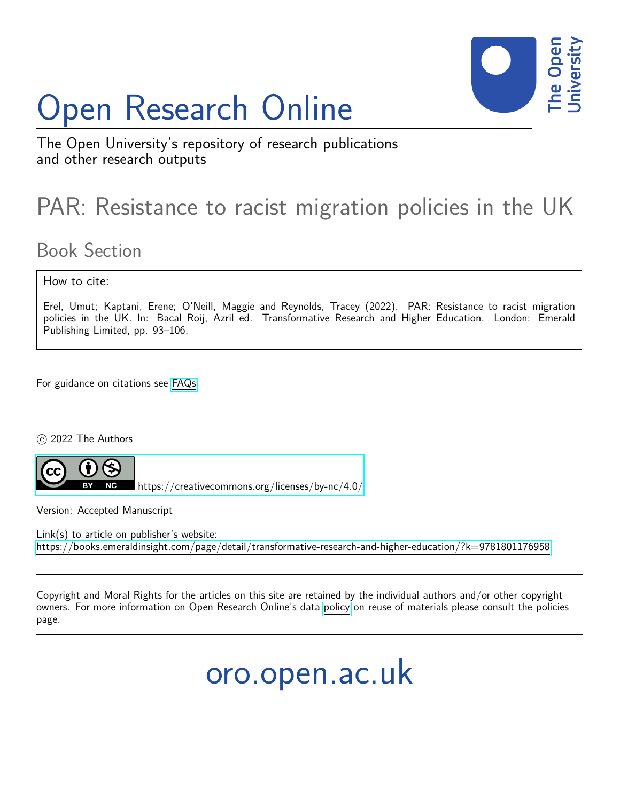# Open Research Online



The Open University's repository of research publications and other research outputs

## PAR: Resistance to racist migration policies in the UK

### Book Section

#### How to cite:

Erel, Umut; Kaptani, Erene; O'Neill, Maggie and Reynolds, Tracey (2022). PAR: Resistance to racist migration policies in the UK. In: Bacal Roij, Azril ed. Transformative Research and Higher Education. London: Emerald Publishing Limited, pp. 93–106.

For guidance on citations see [FAQs.](http://oro.open.ac.uk/help/helpfaq.html)

c 2022 The Authors



<https://creativecommons.org/licenses/by-nc/4.0/>

Version: Accepted Manuscript

Link(s) to article on publisher's website: <https://books.emeraldinsight.com/page/detail/transformative-research-and-higher-education/?k=9781801176958>

Copyright and Moral Rights for the articles on this site are retained by the individual authors and/or other copyright owners. For more information on Open Research Online's data [policy](http://oro.open.ac.uk/policies.html) on reuse of materials please consult the policies page.

oro.open.ac.uk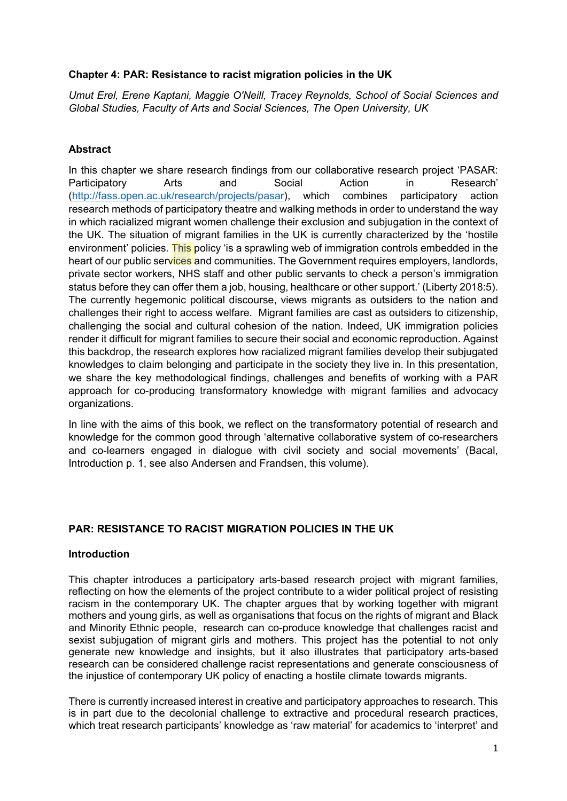#### **Chapter 4: PAR: Resistance to racist migration policies in the UK**

*Umut Erel, Erene Kaptani, Maggie O'Neill, Tracey Reynolds, School of Social Sciences and Global Studies, Faculty of Arts and Social Sciences, The Open University, UK*

#### **Abstract**

In this chapter we share research findings from our collaborative research project 'PASAR: Participatory Arts and Social Action in Research' [\(http://fass.open.ac.uk/research/projects/pasar\)](http://fass.open.ac.uk/research/projects/pasar), which combines participatory action research methods of participatory theatre and walking methods in order to understand the way in which racialized migrant women challenge their exclusion and subjugation in the context of the UK. The situation of migrant families in the UK is currently characterized by the 'hostile environment' policies. This policy 'is a sprawling web of immigration controls embedded in the heart of our public services and communities. The Government requires employers, landlords, private sector workers, NHS staff and other public servants to check a person's immigration status before they can offer them a job, housing, healthcare or other support.' (Liberty 2018:5). The currently hegemonic political discourse, views migrants as outsiders to the nation and challenges their right to access welfare. Migrant families are cast as outsiders to citizenship, challenging the social and cultural cohesion of the nation. Indeed, UK immigration policies render it difficult for migrant families to secure their social and economic reproduction. Against this backdrop, the research explores how racialized migrant families develop their subjugated knowledges to claim belonging and participate in the society they live in. In this presentation, we share the key methodological findings, challenges and benefits of working with a PAR approach for co-producing transformatory knowledge with migrant families and advocacy organizations.

In line with the aims of this book, we reflect on the transformatory potential of research and knowledge for the common good through 'alternative collaborative system of co-researchers and co-learners engaged in dialogue with civil society and social movements' (Bacal, Introduction p. 1, see also Andersen and Frandsen, this volume).

#### **PAR: RESISTANCE TO RACIST MIGRATION POLICIES IN THE UK**

#### **Introduction**

This chapter introduces a participatory arts-based research project with migrant families, reflecting on how the elements of the project contribute to a wider political project of resisting racism in the contemporary UK. The chapter argues that by working together with migrant mothers and young girls, as well as organisations that focus on the rights of migrant and Black and Minority Ethnic people, research can co-produce knowledge that challenges racist and sexist subjugation of migrant girls and mothers. This project has the potential to not only generate new knowledge and insights, but it also illustrates that participatory arts-based research can be considered challenge racist representations and generate consciousness of the injustice of contemporary UK policy of enacting a hostile climate towards migrants.

There is currently increased interest in creative and participatory approaches to research. This is in part due to the decolonial challenge to extractive and procedural research practices, which treat research participants' knowledge as 'raw material' for academics to 'interpret' and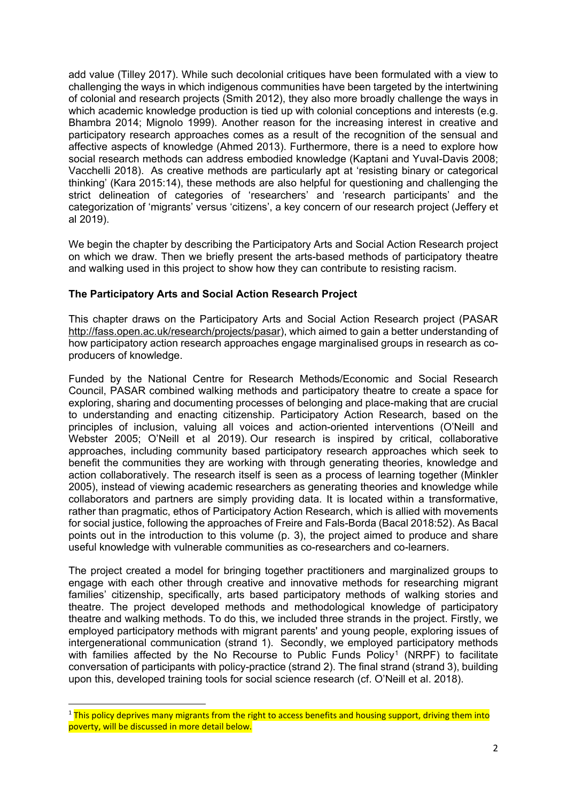add value (Tilley 2017). While such decolonial critiques have been formulated with a view to challenging the ways in which indigenous communities have been targeted by the intertwining of colonial and research projects (Smith 2012), they also more broadly challenge the ways in which academic knowledge production is tied up with colonial conceptions and interests (e.g. Bhambra 2014; Mignolo 1999). Another reason for the increasing interest in creative and participatory research approaches comes as a result of the recognition of the sensual and affective aspects of knowledge (Ahmed 2013). Furthermore, there is a need to explore how social research methods can address embodied knowledge (Kaptani and Yuval-Davis 2008; Vacchelli 2018). As creative methods are particularly apt at 'resisting binary or categorical thinking' (Kara 2015:14), these methods are also helpful for questioning and challenging the strict delineation of categories of 'researchers' and 'research participants' and the categorization of 'migrants' versus 'citizens', a key concern of our research project (Jeffery et al 2019).

We begin the chapter by describing the Participatory Arts and Social Action Research project on which we draw. Then we briefly present the arts-based methods of participatory theatre and walking used in this project to show how they can contribute to resisting racism.

#### **The Participatory Arts and Social Action Research Project**

This chapter draws on the Participatory Arts and Social Action Research project (PASA[R](http://fass.open.ac.uk/research/projects/pasar) [http://fass.open.ac.uk/research/projects/pasar\)](http://fass.open.ac.uk/research/projects/pasar), which aimed to gain a better understanding of how participatory action research approaches engage marginalised groups in research as coproducers of knowledge.

Funded by the National Centre for Research Methods/Economic and Social Research Council, PASAR combined walking methods and participatory theatre to create a space for exploring, sharing and documenting processes of belonging and place-making that are crucial to understanding and enacting citizenship. Participatory Action Research, based on the principles of inclusion, valuing all voices and action-oriented interventions (O'Neill and Webster 2005; O'Neill et al 2019). Our research is inspired by critical, collaborative approaches, including community based participatory research approaches which seek to benefit the communities they are working with through generating theories, knowledge and action collaboratively. The research itself is seen as a process of learning together (Minkler 2005), instead of viewing academic researchers as generating theories and knowledge while collaborators and partners are simply providing data. It is located within a transformative, rather than pragmatic, ethos of Participatory Action Research, which is allied with movements for social justice, following the approaches of Freire and Fals-Borda (Bacal 2018:52). As Bacal points out in the introduction to this volume (p. 3), the project aimed to produce and share useful knowledge with vulnerable communities as co-researchers and co-learners.

The project created a model for bringing together practitioners and marginalized groups to engage with each other through creative and innovative methods for researching migrant families' citizenship, specifically, arts based participatory methods of walking stories and theatre. The project developed methods and methodological knowledge of participatory theatre and walking methods. To do this, we included three strands in the project. Firstly, we employed participatory methods with migrant parents' and young people, exploring issues of intergenerational communication (strand 1). Secondly, we employed participatory methods with families affected by the No Recourse to Public Funds Policy<sup>[1](#page-2-0)</sup> (NRPF) to facilitate conversation of participants with policy-practice (strand 2). The final strand (strand 3), building upon this, developed training tools for social science research (cf. O'Neill et al. 2018).

<span id="page-2-0"></span> $1$  This policy deprives many migrants from the right to access benefits and housing support, driving them into poverty, will be discussed in more detail below.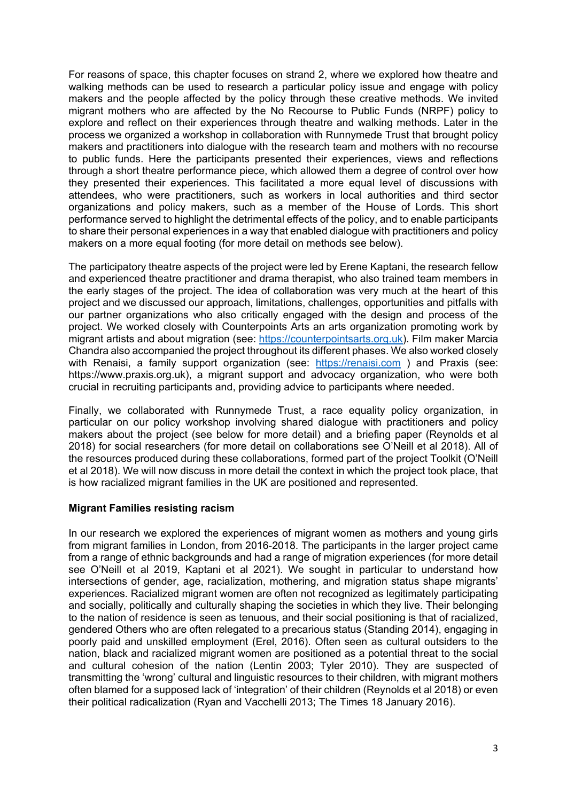For reasons of space, this chapter focuses on strand 2, where we explored how theatre and walking methods can be used to research a particular policy issue and engage with policy makers and the people affected by the policy through these creative methods. We invited migrant mothers who are affected by the No Recourse to Public Funds (NRPF) policy to explore and reflect on their experiences through theatre and walking methods. Later in the process we organized a workshop in collaboration with Runnymede Trust that brought policy makers and practitioners into dialogue with the research team and mothers with no recourse to public funds. Here the participants presented their experiences, views and reflections through a short theatre performance piece, which allowed them a degree of control over how they presented their experiences. This facilitated a more equal level of discussions with attendees, who were practitioners, such as workers in local authorities and third sector organizations and policy makers, such as a member of the House of Lords. This short performance served to highlight the detrimental effects of the policy, and to enable participants to share their personal experiences in a way that enabled dialogue with practitioners and policy makers on a more equal footing (for more detail on methods see below).

The participatory theatre aspects of the project were led by Erene Kaptani, the research fellow and experienced theatre practitioner and drama therapist, who also trained team members in the early stages of the project. The idea of collaboration was very much at the heart of this project and we discussed our approach, limitations, challenges, opportunities and pitfalls with our partner organizations who also critically engaged with the design and process of the project. We worked closely with Counterpoints Arts an arts organization promoting work by migrant artists and about migration (see: [https://counterpointsarts.org.uk\)](https://counterpointsarts.org.uk/). Film maker Marcia Chandra also accompanied the project throughout its different phases. We also worked closely with Renaisi, a family support organization (see: [https://renaisi.com](https://renaisi.com/) ) and Praxis (see: https://www.praxis.org.uk), a migrant support and advocacy organization, who were both crucial in recruiting participants and, providing advice to participants where needed.

Finally, we collaborated with Runnymede Trust, a race equality policy organization, in particular on our policy workshop involving shared dialogue with practitioners and policy makers about the project (see below for more detail) and a briefing paper (Reynolds et al 2018) for social researchers (for more detail on collaborations see O'Neill et al 2018). All of the resources produced during these collaborations, formed part of the project Toolkit (O'Neill et al 2018). We will now discuss in more detail the context in which the project took place, that is how racialized migrant families in the UK are positioned and represented.

#### **Migrant Families resisting racism**

In our research we explored the experiences of migrant women as mothers and young girls from migrant families in London, from 2016-2018. The participants in the larger project came from a range of ethnic backgrounds and had a range of migration experiences (for more detail see O'Neill et al 2019, Kaptani et al 2021). We sought in particular to understand how intersections of gender, age, racialization, mothering, and migration status shape migrants' experiences. Racialized migrant women are often not recognized as legitimately participating and socially, politically and culturally shaping the societies in which they live. Their belonging to the nation of residence is seen as tenuous, and their social positioning is that of racialized, gendered Others who are often relegated to a precarious status (Standing 2014), engaging in poorly paid and unskilled employment (Erel, 2016). Often seen as cultural outsiders to the nation, black and racialized migrant women are positioned as a potential threat to the social and cultural cohesion of the nation (Lentin 2003; Tyler 2010). They are suspected of transmitting the 'wrong' cultural and linguistic resources to their children, with migrant mothers often blamed for a supposed lack of 'integration' of their children (Reynolds et al 2018) or even their political radicalization (Ryan and Vacchelli 2013; The Times 18 January 2016).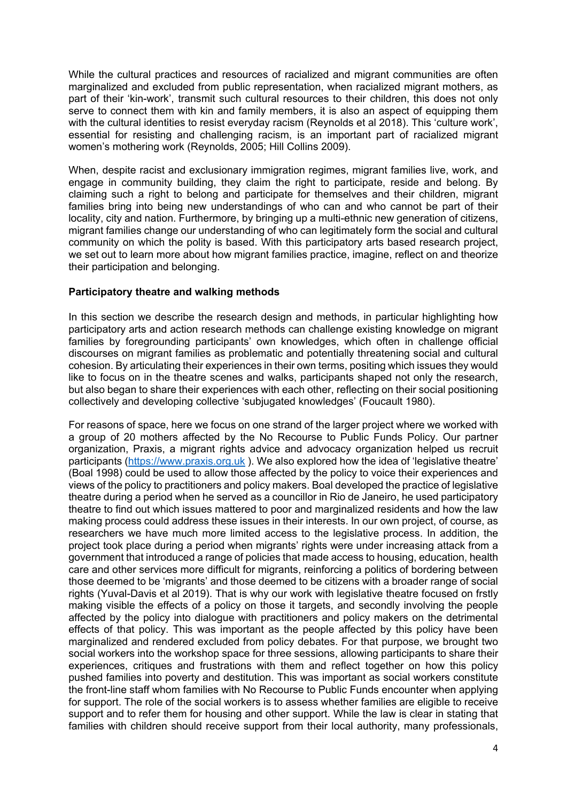While the cultural practices and resources of racialized and migrant communities are often marginalized and excluded from public representation, when racialized migrant mothers, as part of their 'kin-work', transmit such cultural resources to their children, this does not only serve to connect them with kin and family members, it is also an aspect of equipping them with the cultural identities to resist everyday racism (Reynolds et al 2018). This 'culture work', essential for resisting and challenging racism, is an important part of racialized migrant women's mothering work (Reynolds, 2005; Hill Collins 2009).

When, despite racist and exclusionary immigration regimes, migrant families live, work, and engage in community building, they claim the right to participate, reside and belong. By claiming such a right to belong and participate for themselves and their children, migrant families bring into being new understandings of who can and who cannot be part of their locality, city and nation. Furthermore, by bringing up a multi-ethnic new generation of citizens, migrant families change our understanding of who can legitimately form the social and cultural community on which the polity is based. With this participatory arts based research project, we set out to learn more about how migrant families practice, imagine, reflect on and theorize their participation and belonging.

#### **Participatory theatre and walking methods**

In this section we describe the research design and methods, in particular highlighting how participatory arts and action research methods can challenge existing knowledge on migrant families by foregrounding participants' own knowledges, which often in challenge official discourses on migrant families as problematic and potentially threatening social and cultural cohesion. By articulating their experiences in their own terms, positing which issues they would like to focus on in the theatre scenes and walks, participants shaped not only the research, but also began to share their experiences with each other, reflecting on their social positioning collectively and developing collective 'subjugated knowledges' (Foucault 1980).

For reasons of space, here we focus on one strand of the larger project where we worked with a group of 20 mothers affected by the No Recourse to Public Funds Policy. Our partner organization, Praxis, a migrant rights advice and advocacy organization helped us recruit participants [\(https://www.praxis.org.uk](https://www.praxis.org.uk/) ). We also explored how the idea of 'legislative theatre' (Boal 1998) could be used to allow those affected by the policy to voice their experiences and views of the policy to practitioners and policy makers. Boal developed the practice of legislative theatre during a period when he served as a councillor in Rio de Janeiro, he used participatory theatre to find out which issues mattered to poor and marginalized residents and how the law making process could address these issues in their interests. In our own project, of course, as researchers we have much more limited access to the legislative process. In addition, the project took place during a period when migrants' rights were under increasing attack from a government that introduced a range of policies that made access to housing, education, health care and other services more difficult for migrants, reinforcing a politics of bordering between those deemed to be 'migrants' and those deemed to be citizens with a broader range of social rights (Yuval-Davis et al 2019). That is why our work with legislative theatre focused on frstly making visible the effects of a policy on those it targets, and secondly involving the people affected by the policy into dialogue with practitioners and policy makers on the detrimental effects of that policy. This was important as the people affected by this policy have been marginalized and rendered excluded from policy debates. For that purpose, we brought two social workers into the workshop space for three sessions, allowing participants to share their experiences, critiques and frustrations with them and reflect together on how this policy pushed families into poverty and destitution. This was important as social workers constitute the front-line staff whom families with No Recourse to Public Funds encounter when applying for support. The role of the social workers is to assess whether families are eligible to receive support and to refer them for housing and other support. While the law is clear in stating that families with children should receive support from their local authority, many professionals,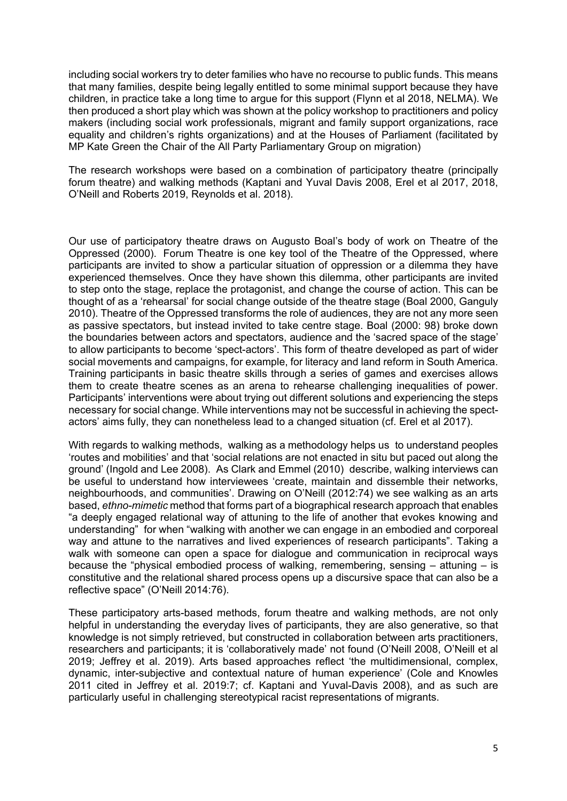including social workers try to deter families who have no recourse to public funds. This means that many families, despite being legally entitled to some minimal support because they have children, in practice take a long time to argue for this support (Flynn et al 2018, NELMA). We then produced a short play which was shown at the policy workshop to practitioners and policy makers (including social work professionals, migrant and family support organizations, race equality and children's rights organizations) and at the Houses of Parliament (facilitated by MP Kate Green the Chair of the All Party Parliamentary Group on migration)

The research workshops were based on a combination of participatory theatre (principally forum theatre) and walking methods (Kaptani and Yuval Davis 2008, Erel et al 2017, 2018, O'Neill and Roberts 2019, Reynolds et al. 2018).

Our use of participatory theatre draws on Augusto Boal's body of work on Theatre of the Oppressed (2000). Forum Theatre is one key tool of the Theatre of the Oppressed, where participants are invited to show a particular situation of oppression or a dilemma they have experienced themselves. Once they have shown this dilemma, other participants are invited to step onto the stage, replace the protagonist, and change the course of action. This can be thought of as a 'rehearsal' for social change outside of the theatre stage (Boal 2000, Ganguly 2010). Theatre of the Oppressed transforms the role of audiences, they are not any more seen as passive spectators, but instead invited to take centre stage. Boal (2000: 98) broke down the boundaries between actors and spectators, audience and the 'sacred space of the stage' to allow participants to become 'spect-actors'. This form of theatre developed as part of wider social movements and campaigns, for example, for literacy and land reform in South America. Training participants in basic theatre skills through a series of games and exercises allows them to create theatre scenes as an arena to rehearse challenging inequalities of power. Participants' interventions were about trying out different solutions and experiencing the steps necessary for social change. While interventions may not be successful in achieving the spectactors' aims fully, they can nonetheless lead to a changed situation (cf. Erel et al 2017).

With regards to walking methods, walking as a methodology helps us to understand peoples 'routes and mobilities' and that 'social relations are not enacted in situ but paced out along the ground' (Ingold and Lee 2008). As Clark and Emmel (2010) describe, walking interviews can be useful to understand how interviewees 'create, maintain and dissemble their networks, neighbourhoods, and communities'. Drawing on O'Neill (2012:74) we see walking as an arts based, *ethno-mimetic* method that forms part of a biographical research approach that enables "a deeply engaged relational way of attuning to the life of another that evokes knowing and understanding" for when "walking with another we can engage in an embodied and corporeal way and attune to the narratives and lived experiences of research participants". Taking a walk with someone can open a space for dialogue and communication in reciprocal ways because the "physical embodied process of walking, remembering, sensing  $-$  attuning  $-$  is constitutive and the relational shared process opens up a discursive space that can also be a reflective space" (O'Neill 2014:76).

These participatory arts-based methods, forum theatre and walking methods, are not only helpful in understanding the everyday lives of participants, they are also generative, so that knowledge is not simply retrieved, but constructed in collaboration between arts practitioners, researchers and participants; it is 'collaboratively made' not found (O'Neill 2008, O'Neill et al 2019; Jeffrey et al. 2019). Arts based approaches reflect 'the multidimensional, complex, dynamic, inter-subjective and contextual nature of human experience' (Cole and Knowles 2011 cited in Jeffrey et al. 2019:7; cf. Kaptani and Yuval-Davis 2008), and as such are particularly useful in challenging stereotypical racist representations of migrants.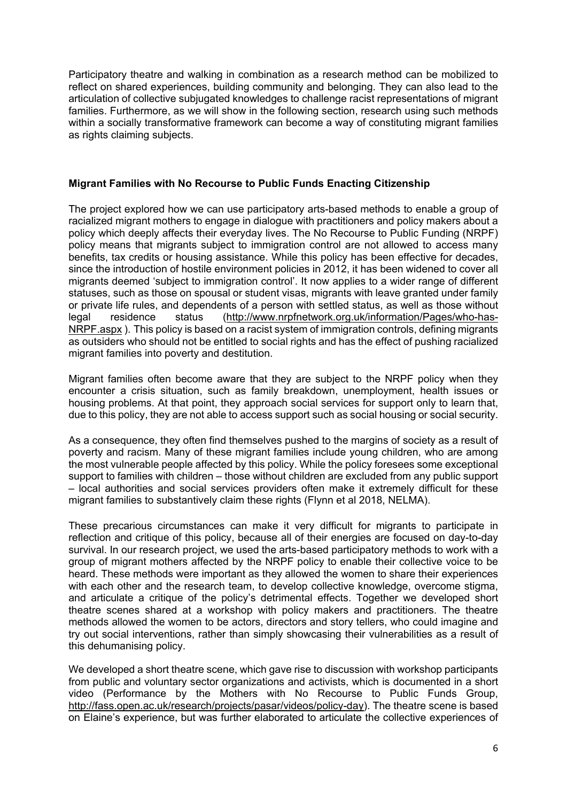Participatory theatre and walking in combination as a research method can be mobilized to reflect on shared experiences, building community and belonging. They can also lead to the articulation of collective subjugated knowledges to challenge racist representations of migrant families. Furthermore, as we will show in the following section, research using such methods within a socially transformative framework can become a way of constituting migrant families as rights claiming subjects.

#### **Migrant Families with No Recourse to Public Funds Enacting Citizenship**

The project explored how we can use participatory arts-based methods to enable a group of racialized migrant mothers to engage in dialogue with practitioners and policy makers about a policy which deeply affects their everyday lives. The No Recourse to Public Funding (NRPF) policy means that migrants subject to immigration control are not allowed to access many benefits, tax credits or housing assistance. While this policy has been effective for decades, since the introduction of hostile environment policies in 2012, it has been widened to cover all migrants deemed 'subject to immigration control'. It now applies to a wider range of different statuses, such as those on spousal or student visas, migrants with leave granted under family or private life rules, and dependents of a person with settled status, as well as those without legal residence status [\(http://www.nrpfnetwork.org.uk/information/Pages/who-has-](http://www.nrpfnetwork.org.uk/information/Pages/who-has-NRPF.aspx)[NRPF.aspx](http://www.nrpfnetwork.org.uk/information/Pages/who-has-NRPF.aspx) ). This policy is based on a racist system of immigration controls, defining migrants as outsiders who should not be entitled to social rights and has the effect of pushing racialized migrant families into poverty and destitution.

Migrant families often become aware that they are subject to the NRPF policy when they encounter a crisis situation, such as family breakdown, unemployment, health issues or housing problems. At that point, they approach social services for support only to learn that, due to this policy, they are not able to access support such as social housing or social security.

As a consequence, they often find themselves pushed to the margins of society as a result of poverty and racism. Many of these migrant families include young children, who are among the most vulnerable people affected by this policy. While the policy foresees some exceptional support to families with children – those without children are excluded from any public support – local authorities and social services providers often make it extremely difficult for these migrant families to substantively claim these rights (Flynn et al 2018, NELMA).

These precarious circumstances can make it very difficult for migrants to participate in reflection and critique of this policy, because all of their energies are focused on day-to-day survival. In our research project, we used the arts-based participatory methods to work with a group of migrant mothers affected by the NRPF policy to enable their collective voice to be heard. These methods were important as they allowed the women to share their experiences with each other and the research team, to develop collective knowledge, overcome stigma, and articulate a critique of the policy's detrimental effects. Together we developed short theatre scenes shared at a workshop with policy makers and practitioners. The theatre methods allowed the women to be actors, directors and story tellers, who could imagine and try out social interventions, rather than simply showcasing their vulnerabilities as a result of this dehumanising policy.

We developed a short theatre scene, which gave rise to discussion with workshop participants from public and voluntary sector organizations and activists, which is documented in a short video (Performance by the Mothers with No Recourse to Public Funds Group[,](http://fass.open.ac.uk/research/projects/pasar/videos/policy-day) [http://fass.open.ac.uk/research/projects/pasar/videos/policy-day\)](http://fass.open.ac.uk/research/projects/pasar/videos/policy-day). The theatre scene is based on Elaine's experience, but was further elaborated to articulate the collective experiences of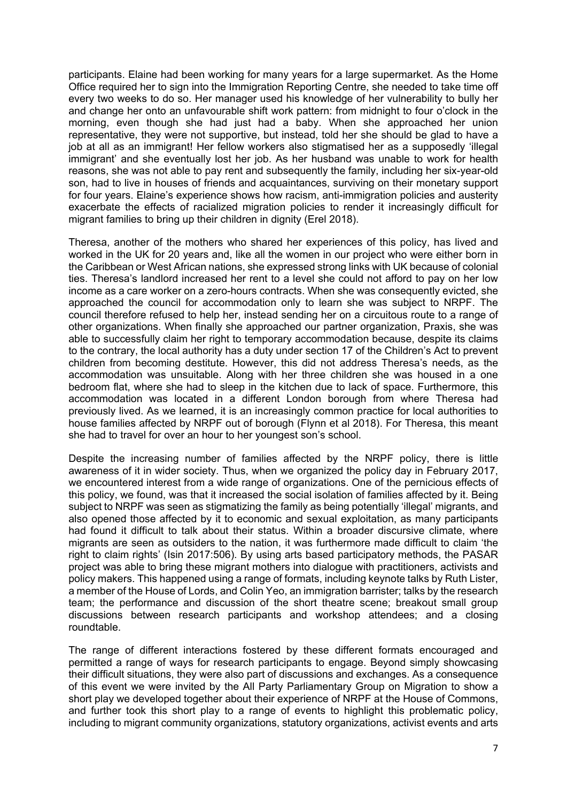participants. Elaine had been working for many years for a large supermarket. As the Home Office required her to sign into the Immigration Reporting Centre, she needed to take time off every two weeks to do so. Her manager used his knowledge of her vulnerability to bully her and change her onto an unfavourable shift work pattern: from midnight to four o'clock in the morning, even though she had just had a baby. When she approached her union representative, they were not supportive, but instead, told her she should be glad to have a job at all as an immigrant! Her fellow workers also stigmatised her as a supposedly 'illegal immigrant' and she eventually lost her job. As her husband was unable to work for health reasons, she was not able to pay rent and subsequently the family, including her six-year-old son, had to live in houses of friends and acquaintances, surviving on their monetary support for four years. Elaine's experience shows how racism, anti-immigration policies and austerity exacerbate the effects of racialized migration policies to render it increasingly difficult for migrant families to bring up their children in dignity (Erel 2018).

Theresa, another of the mothers who shared her experiences of this policy, has lived and worked in the UK for 20 years and, like all the women in our project who were either born in the Caribbean or West African nations, she expressed strong links with UK because of colonial ties. Theresa's landlord increased her rent to a level she could not afford to pay on her low income as a care worker on a zero-hours contracts. When she was consequently evicted, she approached the council for accommodation only to learn she was subject to NRPF. The council therefore refused to help her, instead sending her on a circuitous route to a range of other organizations. When finally she approached our partner organization, Praxis, she was able to successfully claim her right to temporary accommodation because, despite its claims to the contrary, the local authority has a duty under section 17 of the Children's Act to prevent children from becoming destitute. However, this did not address Theresa's needs, as the accommodation was unsuitable. Along with her three children she was housed in a one bedroom flat, where she had to sleep in the kitchen due to lack of space. Furthermore, this accommodation was located in a different London borough from where Theresa had previously lived. As we learned, it is an increasingly common practice for local authorities to house families affected by NRPF out of borough (Flynn et al 2018). For Theresa, this meant she had to travel for over an hour to her youngest son's school.

Despite the increasing number of families affected by the NRPF policy, there is little awareness of it in wider society. Thus, when we organized the policy day in February 2017, we encountered interest from a wide range of organizations. One of the pernicious effects of this policy, we found, was that it increased the social isolation of families affected by it. Being subject to NRPF was seen as stigmatizing the family as being potentially 'illegal' migrants, and also opened those affected by it to economic and sexual exploitation, as many participants had found it difficult to talk about their status. Within a broader discursive climate, where migrants are seen as outsiders to the nation, it was furthermore made difficult to claim 'the right to claim rights' (Isin 2017:506). By using arts based participatory methods, the PASAR project was able to bring these migrant mothers into dialogue with practitioners, activists and policy makers. This happened using a range of formats, including keynote talks by Ruth Lister, a member of the House of Lords, and Colin Yeo, an immigration barrister; talks by the research team; the performance and discussion of the short theatre scene; breakout small group discussions between research participants and workshop attendees; and a closing roundtable.

The range of different interactions fostered by these different formats encouraged and permitted a range of ways for research participants to engage. Beyond simply showcasing their difficult situations, they were also part of discussions and exchanges. As a consequence of this event we were invited by the All Party Parliamentary Group on Migration to show a short play we developed together about their experience of NRPF at the House of Commons, and further took this short play to a range of events to highlight this problematic policy, including to migrant community organizations, statutory organizations, activist events and arts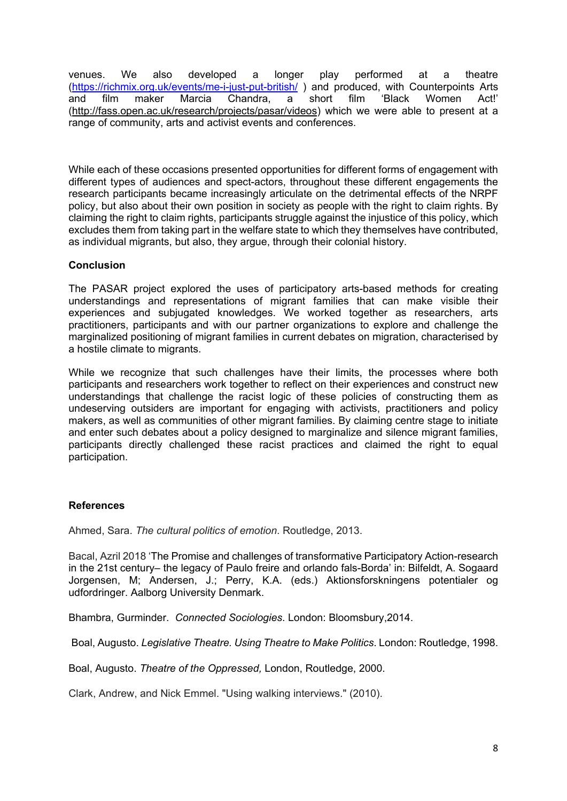venues. We also developed a longer play performed at a theatre [\(https://richmix.org.uk/events/me-i-just-put-british/](https://richmix.org.uk/events/me-i-just-put-british/)) and produced, with Counterpoints Arts<br>and film maker Marcia Chandra, a short film 'Black Women Act!' and film maker Marcia Chandra, a short film 'Black Women Act!' [\(http://fass.open.ac.uk/research/projects/pasar/videos\)](http://fass.open.ac.uk/research/projects/pasar/videos) which we were able to present at a range of community, arts and activist events and conferences.

While each of these occasions presented opportunities for different forms of engagement with different types of audiences and spect-actors, throughout these different engagements the research participants became increasingly articulate on the detrimental effects of the NRPF policy, but also about their own position in society as people with the right to claim rights. By claiming the right to claim rights, participants struggle against the injustice of this policy, which excludes them from taking part in the welfare state to which they themselves have contributed, as individual migrants, but also, they argue, through their colonial history.

#### **Conclusion**

The PASAR project explored the uses of participatory arts-based methods for creating understandings and representations of migrant families that can make visible their experiences and subjugated knowledges. We worked together as researchers, arts practitioners, participants and with our partner organizations to explore and challenge the marginalized positioning of migrant families in current debates on migration, characterised by a hostile climate to migrants.

While we recognize that such challenges have their limits, the processes where both participants and researchers work together to reflect on their experiences and construct new understandings that challenge the racist logic of these policies of constructing them as undeserving outsiders are important for engaging with activists, practitioners and policy makers, as well as communities of other migrant families. By claiming centre stage to initiate and enter such debates about a policy designed to marginalize and silence migrant families, participants directly challenged these racist practices and claimed the right to equal participation.

#### **References**

Ahmed, Sara. *The cultural politics of emotion*. Routledge, 2013.

Bacal, Azril 2018 'The Promise and challenges of transformative Participatory Action-research in the 21st century– the legacy of Paulo freire and orlando fals-Borda' in: Bilfeldt, A. Sogaard Jorgensen, M; Andersen, J.; Perry, K.A. (eds.) Aktionsforskningens potentialer og udfordringer. Aalborg University Denmark.

Bhambra, Gurminder. *Connected Sociologies*. London: Bloomsbury,2014.

Boal, Augusto. *Legislative Theatre. Using Theatre to Make Politics*. London: Routledge, 1998.

Boal, Augusto. *Theatre of the Oppressed,* London, Routledge, 2000.

Clark, Andrew, and Nick Emmel. "Using walking interviews." (2010).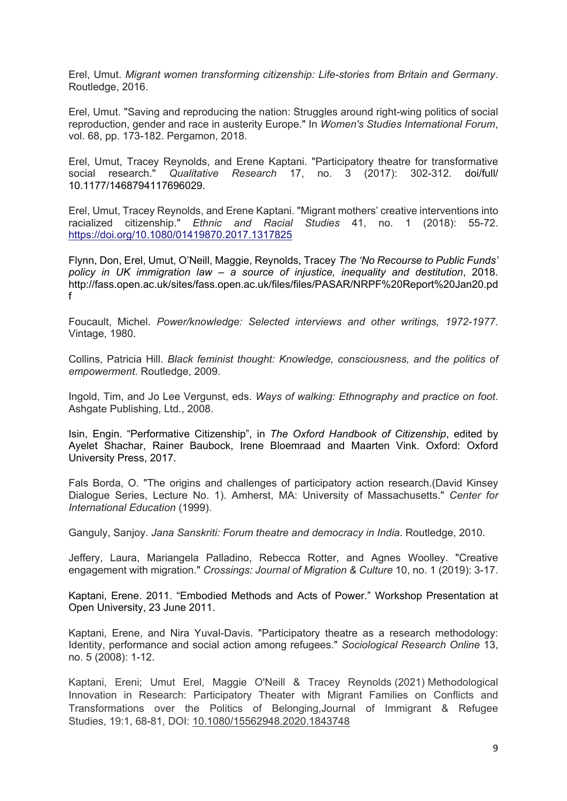Erel, Umut. *Migrant women transforming citizenship: Life-stories from Britain and Germany*. Routledge, 2016.

Erel, Umut. "Saving and reproducing the nation: Struggles around right-wing politics of social reproduction, gender and race in austerity Europe." In *Women's Studies International Forum*, vol. 68, pp. 173-182. Pergamon, 2018.

Erel, Umut, Tracey Reynolds, and Erene Kaptani. "Participatory theatre for transformative social research." Qualitative Research 17. no. 3 (2017): 302-312. doi/full/ social research." *Qualitative Research* 17, no. 3 (2017): 302-312. doi/full/ 10.1177/1468794117696029.

Erel, Umut, Tracey Reynolds, and Erene Kaptani. "Migrant mothers' creative interventions into racialized citizenship." *Ethnic and Racial Studies* 41, no. 1 (2018): 55-72[.](https://doi.org/10.1080/01419870.2017.1317825) <https://doi.org/10.1080/01419870.2017.1317825>

Flynn, Don, Erel, Umut, O'Neill, Maggie, Reynolds, Tracey *The 'No Recourse to Public Funds' policy in UK immigration law – a source of injustice, inequality and destitution*, 2018. http://fass.open.ac.uk/sites/fass.open.ac.uk/files/files/PASAR/NRPF%20Report%20Jan20.pd f

Foucault, Michel. *Power/knowledge: Selected interviews and other writings, 1972-1977*. Vintage, 1980.

Collins, Patricia Hill. *Black feminist thought: Knowledge, consciousness, and the politics of empowerment*. Routledge, 2009.

Ingold, Tim, and Jo Lee Vergunst, eds. *Ways of walking: Ethnography and practice on foot*. Ashgate Publishing, Ltd., 2008.

Isin, Engin. "Performative Citizenship", in *The Oxford Handbook of Citizenship*, edited by Ayelet Shachar, Rainer Baubock, Irene Bloemraad and Maarten Vink. Oxford: Oxford University Press, 2017.

Fals Borda, O. "The origins and challenges of participatory action research.(David Kinsey Dialogue Series, Lecture No. 1). Amherst, MA: University of Massachusetts." *Center for International Education* (1999).

Ganguly, Sanjoy. *Jana Sanskriti: Forum theatre and democracy in India*. Routledge, 2010.

Jeffery, Laura, Mariangela Palladino, Rebecca Rotter, and Agnes Woolley. "Creative engagement with migration." *Crossings: Journal of Migration & Culture* 10, no. 1 (2019): 3-17.

Kaptani, Erene. 2011. "Embodied Methods and Acts of Power." Workshop Presentation at Open University, 23 June 2011.

Kaptani, Erene, and Nira Yuval-Davis. "Participatory theatre as a research methodology: Identity, performance and social action among refugees." *Sociological Research Online* 13, no. 5 (2008): 1-12.

Kaptani, Ereni; Umut Erel, Maggie O'Neill & Tracey Reynolds (2021) Methodological Innovation in Research: Participatory Theater with Migrant Families on Conflicts and Transformations over the Politics of Belonging,Journal of Immigrant & Refugee Studies, 19:1, 68-81, DOI: [10.1080/15562948.2020.1843748](https://doi.org/10.1080/15562948.2020.1843748)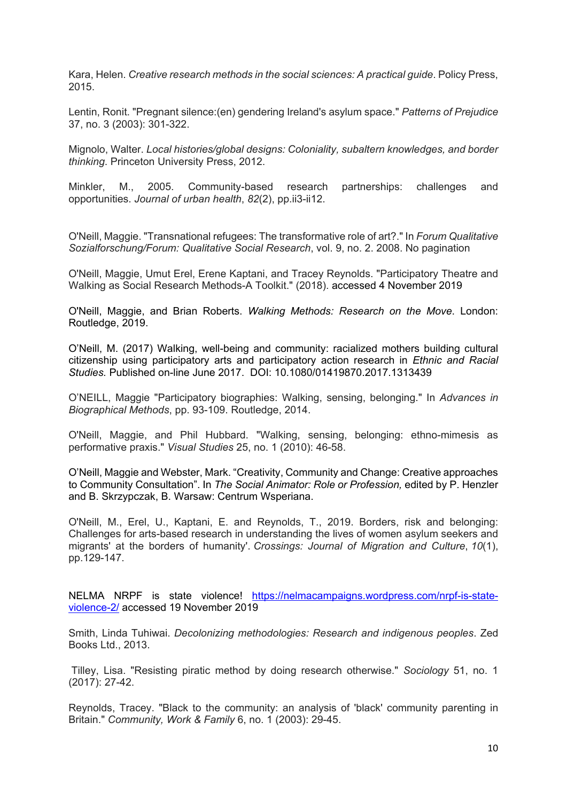Kara, Helen. *Creative research methods in the social sciences: A practical guide*. Policy Press, 2015.

Lentin, Ronit. "Pregnant silence:(en) gendering Ireland's asylum space." *Patterns of Prejudice* 37, no. 3 (2003): 301-322.

Mignolo, Walter. *Local histories/global designs: Coloniality, subaltern knowledges, and border thinking*. Princeton University Press, 2012.

Minkler, M., 2005. Community-based research partnerships: challenges and opportunities. *Journal of urban health*, *82*(2), pp.ii3-ii12.

O'Neill, Maggie. "Transnational refugees: The transformative role of art?." In *Forum Qualitative Sozialforschung/Forum: Qualitative Social Research*, vol. 9, no. 2. 2008. No pagination

O'Neill, Maggie, Umut Erel, Erene Kaptani, and Tracey Reynolds. "Participatory Theatre and Walking as Social Research Methods-A Toolkit." (2018). accessed 4 November 2019

O'Neill, Maggie, and Brian Roberts. *Walking Methods: Research on the Move*. London: Routledge, 2019.

O'Neill, M. (2017) Walking, well-being and community: racialized mothers building cultural citizenship using participatory arts and participatory action research in *Ethnic and Racial Studies.* Published on-line June 2017. DOI: 10.1080/01419870.2017.1313439

O'NEILL, Maggie "Participatory biographies: Walking, sensing, belonging." In *Advances in Biographical Methods*, pp. 93-109. Routledge, 2014.

O'Neill, Maggie, and Phil Hubbard. "Walking, sensing, belonging: ethno-mimesis as performative praxis." *Visual Studies* 25, no. 1 (2010): 46-58.

O'Neill, Maggie and Webster, Mark. "Creativity, Community and Change: Creative approaches to Community Consultation". In *The Social Animator: Role or Profession,* edited by P. Henzler and B. Skrzypczak, B. Warsaw: Centrum Wsperiana.

O'Neill, M., Erel, U., Kaptani, E. and Reynolds, T., 2019. Borders, risk and belonging: Challenges for arts-based research in understanding the lives of women asylum seekers and migrants' at the borders of humanity'. *Crossings: Journal of Migration and Culture*, *10*(1), pp.129-147.

NELMA NRPF is state violence! [https://nelmacampaigns.wordpress.com/nrpf-is-state](https://nelmacampaigns.wordpress.com/nrpf-is-state-violence-2/)[violence-2/](https://nelmacampaigns.wordpress.com/nrpf-is-state-violence-2/) accessed 19 November 2019

Smith, Linda Tuhiwai. *Decolonizing methodologies: Research and indigenous peoples*. Zed Books Ltd., 2013.

Tilley, Lisa. "Resisting piratic method by doing research otherwise." *Sociology* 51, no. 1 (2017): 27-42.

Reynolds, Tracey. "Black to the community: an analysis of 'black' community parenting in Britain." *Community, Work & Family* 6, no. 1 (2003): 29-45.